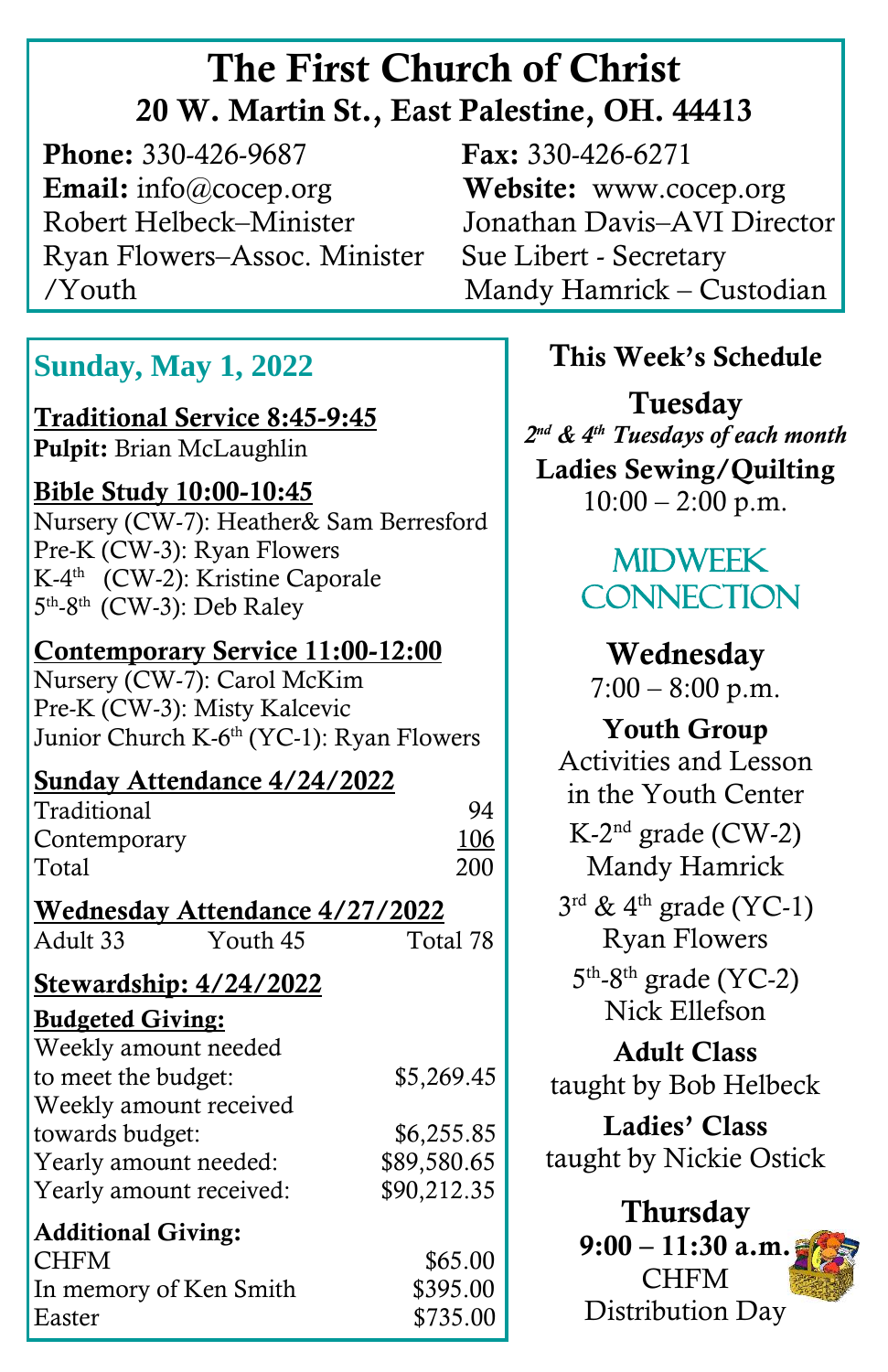# The First Church of Christ 20 W. Martin St., East Palestine, OH. 44413

**Phone:** 330-426-9687 **Fax:** 330-426-6271 Email: info@cocep.org Website: www.cocep.org Robert Helbeck–Minister Jonathan Davis–AVI Director Ryan Flowers–Assoc. Minister Sue Libert - Secretary /Youth Mandy Hamrick – Custodian

# **Sunday, May 1, 2022**

Traditional Service 8:45-9:45 Pulpit: Brian McLaughlin

ׇ֖֚֞֘֝֬

 Bible Study 10:00-10:45 Nursery (CW-7): Heather& Sam Berresford Pre-K (CW-3): Ryan Flowers K-4 th (CW-2): Kristine Caporale 5<sup>th</sup>-8<sup>th</sup> (CW-3): Deb Raley

Contemporary Service 11:00-12:00 Nursery (CW-7): Carol McKim Pre-K (CW-3): Misty Kalcevic Junior Church K-6<sup>th</sup> (YC-1): Ryan Flowers

Sunday Attendance 4/24/2022 Traditional 94 Contemporary 106 Total 200 Wednesday Attendance 4/27/2022 Adult 33 Youth 45 Total 78

#### Stewardship: 4/24/2022

Budgeted Giving:

| Weekly amount needed      |             |
|---------------------------|-------------|
| to meet the budget:       | \$5,269.45  |
| Weekly amount received    |             |
| towards budget:           | \$6,255.85  |
| Yearly amount needed:     | \$89,580.65 |
| Yearly amount received:   | \$90,212.35 |
| <b>Additional Giving:</b> |             |
| <b>CHFM</b>               | \$65.00     |
| In memory of Ken Smith    | \$395.00    |
| Easter                    | \$735.00    |

İ

### This Week's Schedule

Tuesday *2 nd & 4th Tuesdays of each month* Ladies Sewing/Quilting  $10:00 - 2:00$  p.m.

# **MIDWEEK CONNECTION**

Wednesday  $7:00 - 8:00$  p.m.

Youth Group Activities and Lesson in the Youth Center K-2 nd grade (CW-2) Mandy Hamrick  $3^{\text{rd}}$  & 4<sup>th</sup> grade (YC-1) Ryan Flowers  $5<sup>th</sup>$ -8<sup>th</sup> grade (YC-2) Nick Ellefson Adult Class taught by Bob Helbeck Ladies' Class taught by Nickie Ostick Thursday  $9:00 - 11:30$  a.m.

CHFM Distribution Day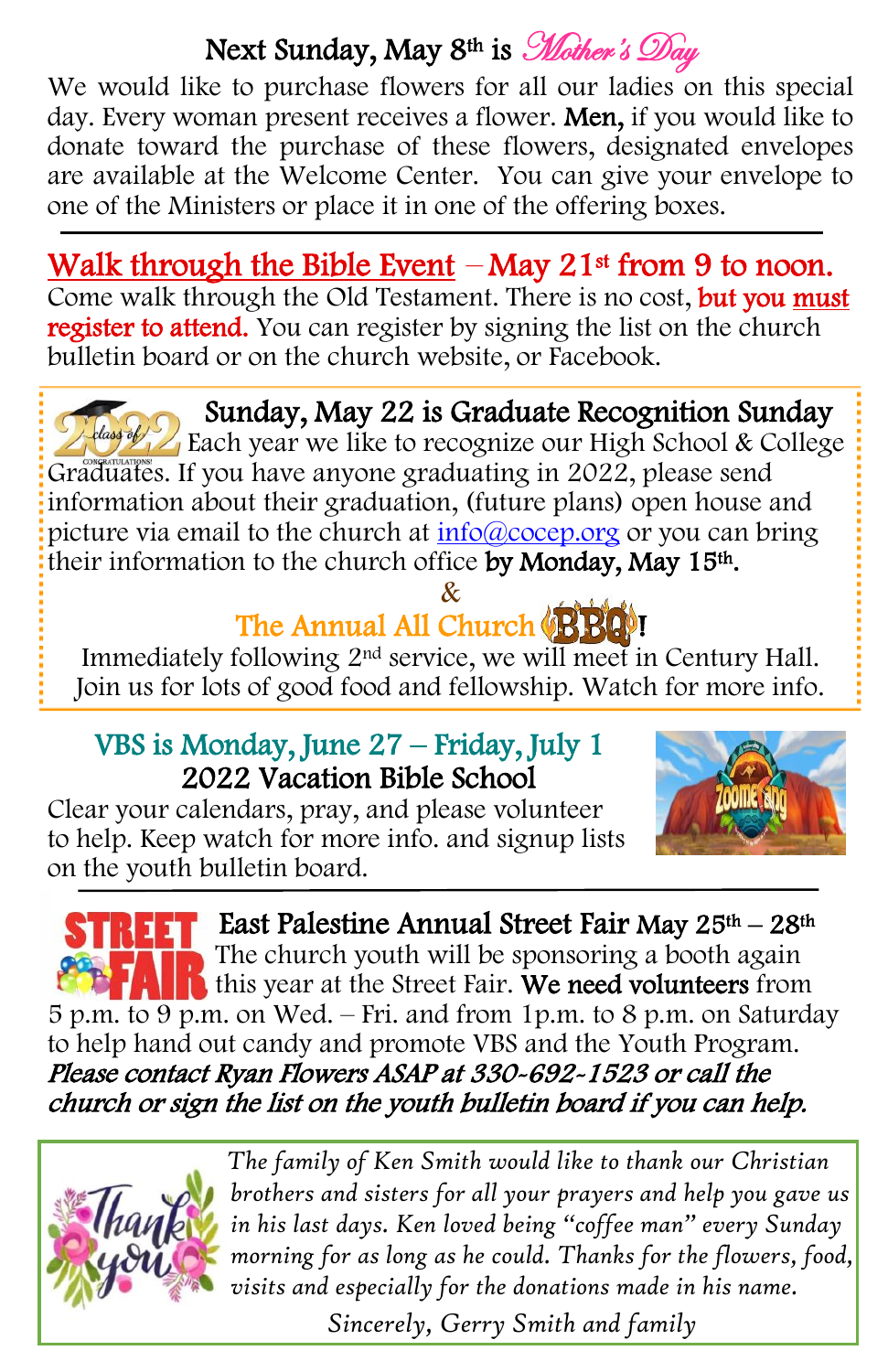# Next Sunday, May 8<sup>th</sup> is *Mother's Day*

We would like to purchase flowers for all our ladies on this special day. Every woman present receives a flower. Men, if you would like to donate toward the purchase of these flowers, designated envelopes are available at the Welcome Center. You can give your envelope to one of the Ministers or place it in one of the offering boxes.

Walk through the Bible Event  $-May 21$ <sup>st</sup> from 9 to noon. Come walk through the Old Testament. There is no cost, but you must register to attend. You can register by signing the list on the church bulletin board or on the church website, or Facebook.

 Graduates. If you have anyone graduating in 2022, please send Sunday, May 22 is Graduate Recognition Sunday Each year we like to recognize our High School & College information about their graduation, (future plans) open house and picture via email to the church at [info@cocep.org](mailto:info@cocep.org) or you can bring their information to the church office by Monday, May 15<sup>th</sup>.

#### & The Annual All Church (BBC)!

Immediately following 2nd service, we will meet in Century Hall. Join us for lots of good food and fellowship. Watch for more info.

#### VBS is Monday, June 27 – Friday, July 1 2022 Vacation Bible School

Clear your calendars, pray, and please volunteer to help. Keep watch for more info. and signup lists on the youth bulletin board.



**REFT** East Palestine Annual Street Fair May 25<sup>th</sup> – 28<sup>th</sup> The church youth will be sponsoring a booth again this year at the Street Fair. We need volunteers from 5 p.m. to 9 p.m. on Wed. – Fri. and from 1p.m. to 8 p.m. on Saturday to help hand out candy and promote VBS and the Youth Program. Please contact Ryan Flowers ASAP at 330-692-1523 or call the church or sign the list on the youth bulletin board if you can help.



 *The family of Ken Smith would like to thank our Christian brothers and sisters for all your prayers and help you gave us in his last days. Ken loved being "coffee man" every Sunday morning for as long as he could. Thanks for the flowers, food, visits and especially for the donations made in his name.*

 *Sincerely, Gerry Smith and family*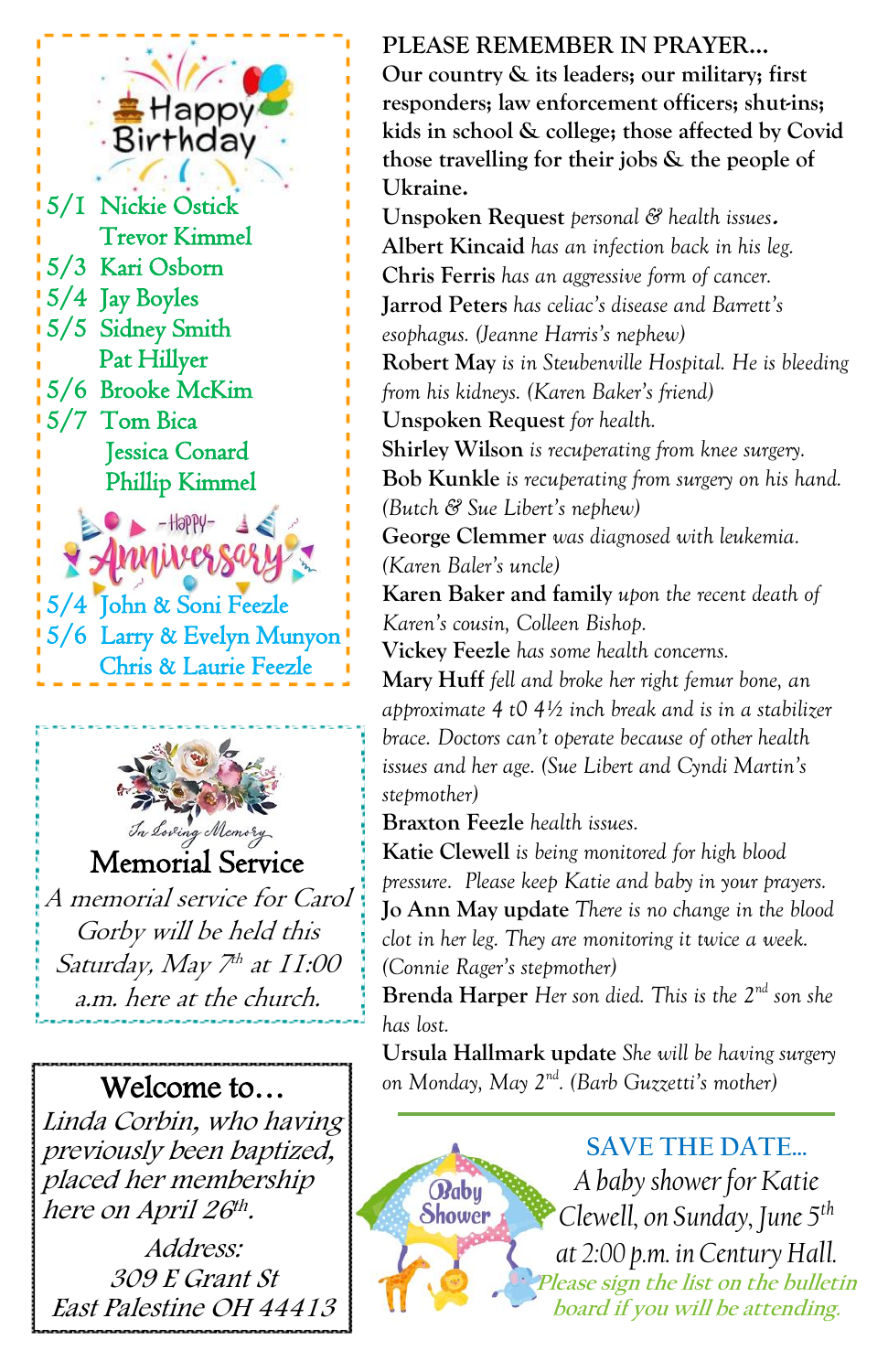## Happy Birthday

 5/3 Kari Osborn 5/1 Nickie Ostick Trevor Kimmel 5/4 Jay Boyles 5/5 Sidney Smith Pat Hillyer 5/6 Brooke McKim 5/7 Tom Bica Jessica Conard Phillip Kimmel

<del>Y</del> Anniversa 5/4 John & Soni Feezle 5/6 Larry & Evelyn Munyon Chris & Laurie Feezle

 $-$ Happy-



Memorial Service

A memorial service for Carol Gorby will be held this Saturday, May 7th at 11:00 a.m. here at the church.

Welcome to… Linda Corbin, who having previously been baptized, placed her membership here on April 26th.

Address: 309 E Grant St East Palestine OH 44413

#### **PLEASE REMEMBER IN PRAYER…**

**Our country & its leaders; our military; first responders; law enforcement officers; shut-ins; kids in school & college; those affected by Covid those travelling for their jobs & the people of Ukraine.**

**Unspoken Request** *personal & health issues***. Albert Kincaid** *has an infection back in his leg.* **Chris Ferris** *has an aggressive form of cancer.* **Jarrod Peters** *has celiac's disease and Barrett's esophagus. (Jeanne Harris's nephew)* **Robert May** *is in Steubenville Hospital. He is bleeding from his kidneys. (Karen Baker's friend)* **Unspoken Request** *for health.* **Shirley Wilson** *is recuperating from knee surgery.* **Bob Kunkle** *is recuperating from surgery on his hand. (Butch & Sue Libert's nephew)* **George Clemmer** *was diagnosed with leukemia. (Karen Baler's uncle)* **Karen Baker and family** *upon the recent death of Karen's cousin, Colleen Bishop.* **Vickey Feezle** *has some health concerns.* **Mary Huff** *fell and broke her right femur bone, an approximate 4 t0 4½ inch break and is in a stabilizer brace. Doctors can't operate because of other health issues and her age. (Sue Libert and Cyndi Martin's stepmother)*

**Braxton Feezle** *health issues.* 

Babu Shower

**Katie Clewell** *is being monitored for high blood pressure. Please keep Katie and baby in your prayers.* **Jo Ann May update** *There is no change in the blood clot in her leg. They are monitoring it twice a week. (Connie Rager's stepmother)*

**Brenda Harper** *Her son died. This is the 2nd son she has lost.*

**Ursula Hallmark update** *She will be having surgery on Monday, May 2nd . (Barb Guzzetti's mother)*

> **SAVE THE DATE…** *A baby shower for Katie Clewell, on Sunday, June 5 th at 2:00 p.m. in Century Hall.* **Please sign the list on the bulletin board if you will be attending.**